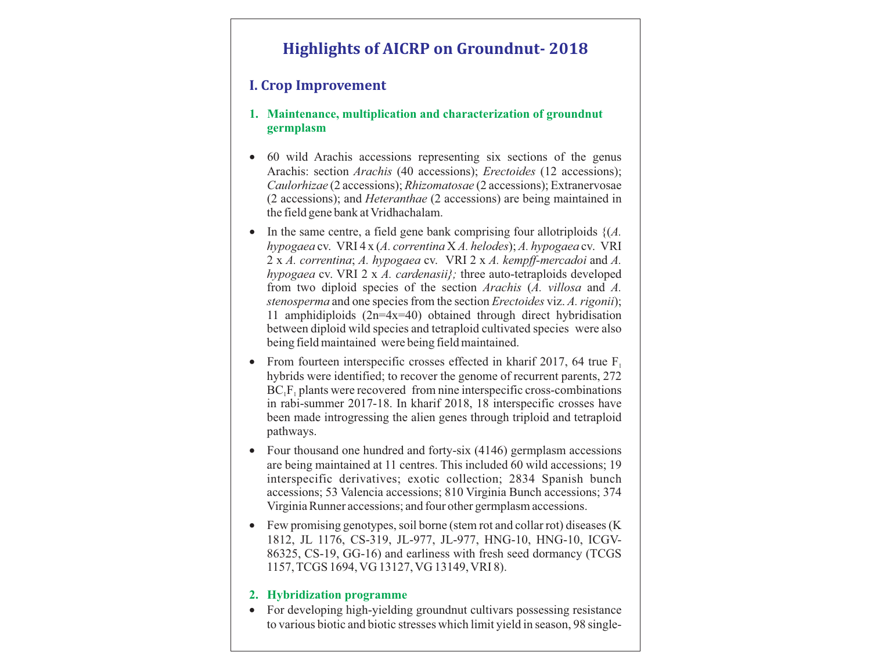# **Highlights of AICRP on Groundnut- 2018**

# **I. Crop Improvement**

- **1. Maintenance, multiplication and characterization of groundnut germplasm**
- · 60 wild Arachis accessions representing six sections of the genus Arachis: section *Arachis* (40 accessions); *Erectoides* (12 accessions); *Caulorhizae* (2 accessions); *Rhizomatosae* (2 accessions); Extranervosae (2 accessions); and *Heteranthae* (2 accessions) are being maintained in the field gene bank at Vridhachalam.
- In the same centre, a field gene bank comprising four allotriploids  $\{(A, \cdot)\}$ *hypogaea* cv. VRI 4 x (*A. correntina* X *A. helodes*); *A. hypogaea* cv. VRI 2 x *A. correntina*; *A. hypogaea* cv. VRI 2 x *A. kempff-mercadoi* and *A. hypogaea* cv. VRI 2 x *A. cardenasii};* three auto-tetraploids developed from two diploid species of the section *Arachis* (*A. villosa* and *A. stenosperma* and one species from the section *Erectoides* viz. *A. rigonii*); 11 amphidiploids (2n=4x=40) obtained through direct hybridisation between diploid wild species and tetraploid cultivated species were also being field maintained were being field maintained.
- From fourteen interspecific crosses effected in kharif 2017, 64 true  $F_1$ hybrids were identified; to recover the genome of recurrent parents, 272  $BC_1F_1$  plants were recovered from nine interspecific cross-combinations in rabi-summer 2017-18. In kharif 2018, 18 interspecific crosses have been made introgressing the alien genes through triploid and tetraploid pathways.
- Four thousand one hundred and forty-six (4146) germplasm accessions are being maintained at 11 centres. This included 60 wild accessions; 19 interspecific derivatives; exotic collection; 2834 Spanish bunch accessions; 53 Valencia accessions; 810 Virginia Bunch accessions; 374 Virginia Runner accessions; and four other germplasm accessions.
- Few promising genotypes, soil borne (stem rot and collar rot) diseases (K) 1812, JL 1176, CS-319, JL-977, JL-977, HNG-10, HNG-10, ICGV-86325, CS-19, GG-16) and earliness with fresh seed dormancy (TCGS 1157, TCGS 1694, VG 13127, VG 13149, VRI 8).

## **2. Hybridization programme**

• For developing high-yielding groundnut cultivars possessing resistance to various biotic and biotic stresses which limit yield in season, 98 single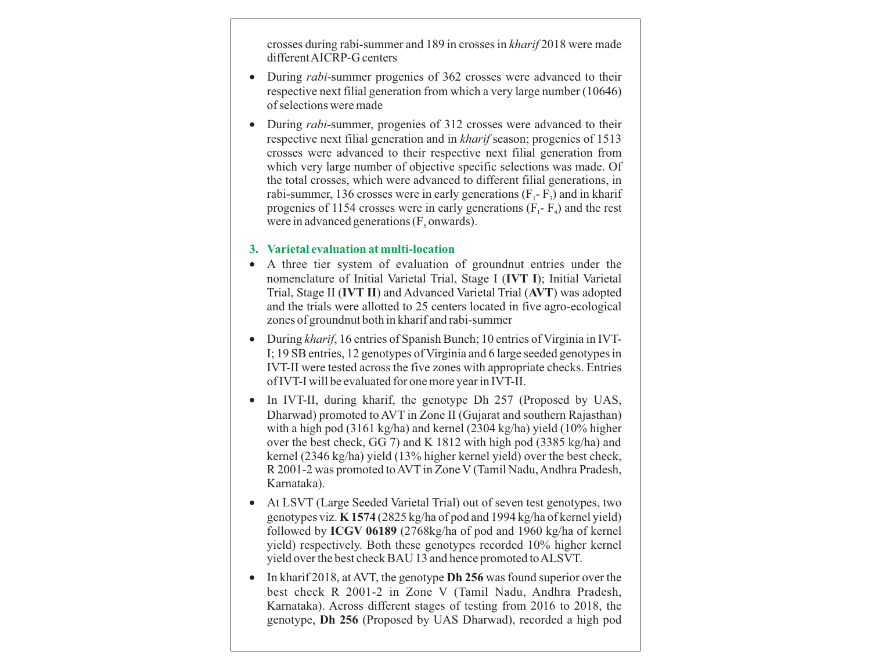crosses during rabi-summer and 189 in crosses in *kharif* 2018 were made different AICRP-G centers

- · During *rabi*-summer progenies of 362 crosses were advanced to their respective next filial generation from which a very large number (10646) of selections were made
- During *rabi*-summer, progenies of 312 crosses were advanced to their respective next filial generation and in *kharif* season; progenies of 1513 crosses were advanced to their respective next filial generation from which very large number of objective specific selections was made. Of the total crosses, which were advanced to different filial generations, in rabi-summer, 136 crosses were in early generations  $(F - F_3)$  and in kharif progenies of 1154 crosses were in early generations  $(F - F<sub>a</sub>)$  and the rest were in advanced generations  $(F_5$  onwards).

#### **3. Varietal evaluation at multi-location**

- · A three tier system of evaluation of groundnut entries under the nomenclature of Initial Varietal Trial, Stage I (**IVT I**); Initial Varietal Trial, Stage II (**IVT II**) and Advanced Varietal Trial (**AVT**) was adopted and the trials were allotted to 25 centers located in five agro-ecological zones of groundnut both in kharif and rabi-summer
- · During *kharif*, 16 entries of Spanish Bunch; 10 entries of Virginia in IVT-I; 19 SB entries, 12 genotypes of Virginia and 6 large seeded genotypes in IVT-II were tested across the five zones with appropriate checks. Entries of IVT-I will be evaluated for one more year in IVT-II.
- In IVT-II, during kharif, the genotype Dh 257 (Proposed by UAS, Dharwad) promoted to AVT in Zone II (Gujarat and southern Rajasthan) with a high pod (3161 kg/ha) and kernel (2304 kg/ha) yield (10% higher over the best check, GG 7) and K 1812 with high pod (3385 kg/ha) and kernel (2346 kg/ha) yield (13% higher kernel yield) over the best check, R 2001-2 was promoted to AVT in Zone V (Tamil Nadu, Andhra Pradesh, Karnataka).
- · At LSVT (Large Seeded Varietal Trial) out of seven test genotypes, two genotypes viz. **K 1574** (2825 kg/ha of pod and 1994 kg/ha of kernel yield) followed by **ICGV 06189** (2768kg/ha of pod and 1960 kg/ha of kernel yield) respectively. Both these genotypes recorded 10% higher kernel yield over the best check BAU 13 and hence promoted to ALSVT.
- · In kharif 2018, at AVT, the genotype **Dh 256** was found superior over the best check R 2001-2 in Zone V (Tamil Nadu, Andhra Pradesh, Karnataka). Across different stages of testing from 2016 to 2018, the genotype, **Dh 256** (Proposed by UAS Dharwad), recorded a high pod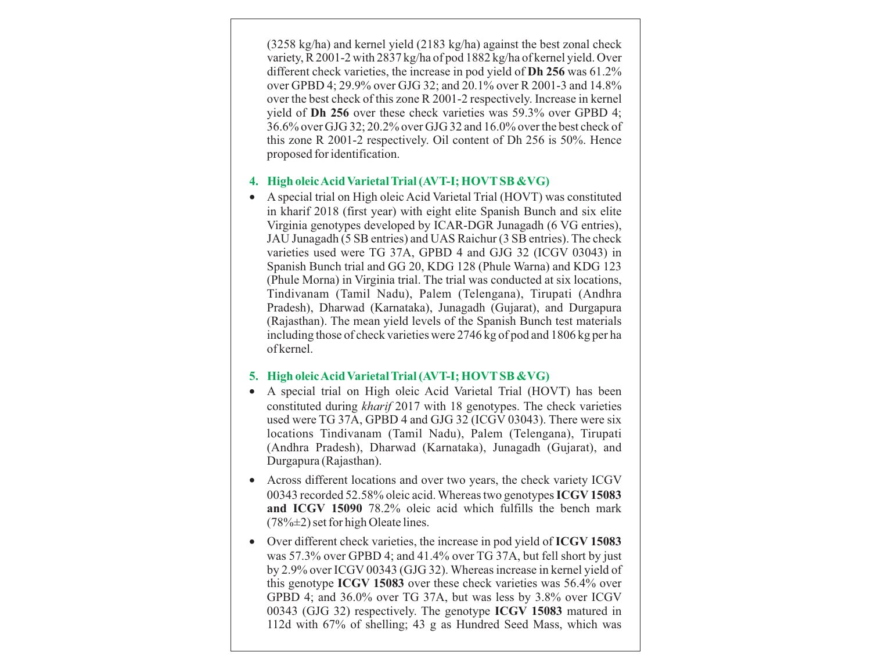(3258 kg/ha) and kernel yield (2183 kg/ha) against the best zonal check variety, R 2001-2 with 2837 kg/ha of pod 1882 kg/ha of kernel yield. Over different check varieties, the increase in pod yield of **Dh 256** was 61.2% over GPBD 4; 29.9% over GJG 32; and 20.1% over R 2001-3 and 14.8% over the best check of this zone R 2001-2 respectively. Increase in kernel yield of **Dh 256** over these check varieties was 59.3% over GPBD 4; 36.6% over GJG 32; 20.2% over GJG 32 and 16.0% over the best check of this zone R 2001-2 respectively. Oil content of Dh 256 is 50%. Hence proposed for identification.

# **4. High oleic Acid Varietal Trial (AVT-I; HOVTSB &VG)**

· A special trial on High oleic Acid Varietal Trial (HOVT) was constituted in kharif 2018 (first year) with eight elite Spanish Bunch and six elite Virginia genotypes developed by ICAR-DGR Junagadh (6 VG entries), JAU Junagadh (5 SB entries) and UAS Raichur (3 SB entries). The check varieties used were TG 37A, GPBD 4 and GJG 32 (ICGV 03043) in Spanish Bunch trial and GG 20, KDG 128 (Phule Warna) and KDG 123 (Phule Morna) in Virginia trial. The trial was conducted at six locations, Tindivanam (Tamil Nadu), Palem (Telengana), Tirupati (Andhra Pradesh), Dharwad (Karnataka), Junagadh (Gujarat), and Durgapura (Rajasthan). The mean yield levels of the Spanish Bunch test materials including those of check varieties were 2746 kg of pod and 1806 kg per ha of kernel.

#### **5. High oleic Acid Varietal Trial (AVT-I; HOVTSB &VG)**

- · A special trial on High oleic Acid Varietal Trial (HOVT) has been constituted during *kharif* 2017 with 18 genotypes. The check varieties used were TG 37A, GPBD 4 and GJG 32 (ICGV 03043). There were six locations Tindivanam (Tamil Nadu), Palem (Telengana), Tirupati (Andhra Pradesh), Dharwad (Karnataka), Junagadh (Gujarat), and Durgapura (Rajasthan).
- · Across different locations and over two years, the check variety ICGV 00343 recorded 52.58% oleic acid. Whereas two genotypes **ICGV 15083 and ICGV 15090** 78.2% oleic acid which fulfills the bench mark  $(78\% \pm 2)$  set for high Oleate lines.
- · Over different check varieties, the increase in pod yield of **ICGV 15083**  was 57.3% over GPBD 4; and 41.4% over TG 37A, but fell short by just by 2.9% over ICGV 00343 (GJG 32). Whereas increase in kernel yield of this genotype **ICGV 15083** over these check varieties was 56.4% over GPBD 4; and 36.0% over TG 37A, but was less by 3.8% over ICGV 00343 (GJG 32) respectively. The genotype **ICGV 15083** matured in 112d with 67% of shelling; 43 g as Hundred Seed Mass, which was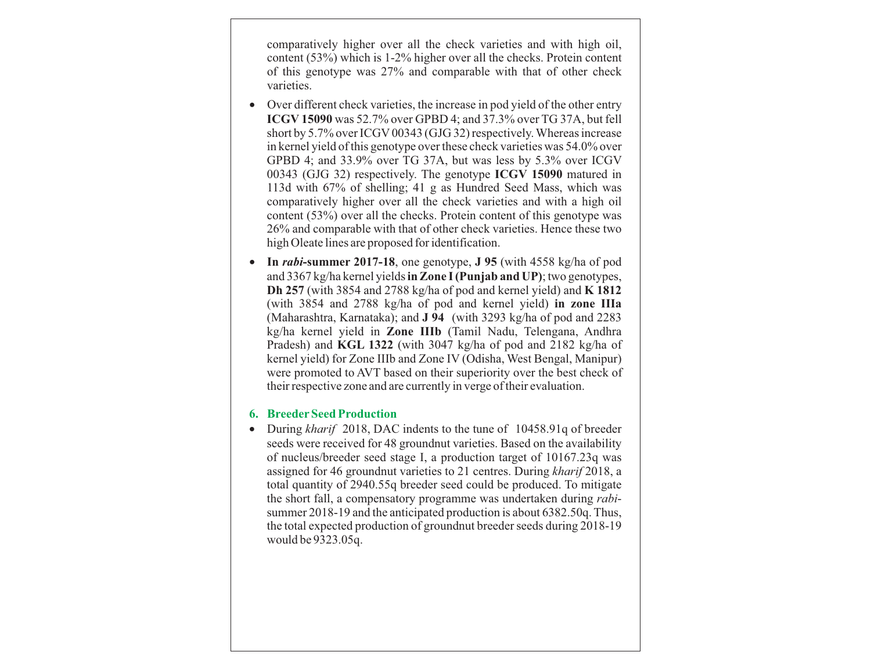comparatively higher over all the check varieties and with high oil, content (53%) which is 1-2% higher over all the checks. Protein content of this genotype was 27% and comparable with that of other check varieties.

- Over different check varieties, the increase in pod yield of the other entry **ICGV 15090** was 52.7% over GPBD 4; and 37.3% over TG 37A, but fell short by 5.7% over ICGV 00343 (GJG 32) respectively. Whereas increase in kernel yield of this genotype over these check varieties was 54.0% over GPBD 4; and 33.9% over TG 37A, but was less by 5.3% over ICGV 00343 (GJG 32) respectively. The genotype **ICGV 15090** matured in 113d with 67% of shelling; 41 g as Hundred Seed Mass, which was comparatively higher over all the check varieties and with a high oil content (53%) over all the checks. Protein content of this genotype was 26% and comparable with that of other check varieties. Hence these two high Oleate lines are proposed for identification.
- · **In** *rabi***-summer 2017-18**, one genotype, **J 95** (with 4558 kg/ha of pod and 3367 kg/ha kernel yields **in Zone I (Punjab and UP)**; two genotypes, **Dh 257** (with 3854 and 2788 kg/ha of pod and kernel yield) and **K 1812** (with 3854 and 2788 kg/ha of pod and kernel yield) **in zone IIIa** (Maharashtra, Karnataka); and **J 94** (with 3293 kg/ha of pod and 2283 kg/ha kernel yield in **Zone IIIb** (Tamil Nadu, Telengana, Andhra Pradesh) and **KGL 1322** (with 3047 kg/ha of pod and 2182 kg/ha of kernel yield) for Zone IIIb and Zone IV (Odisha, West Bengal, Manipur) were promoted to AVT based on their superiority over the best check of their respective zone and are currently in verge of their evaluation.

#### **6. BreederSeed Production**

• During *kharif* 2018, DAC indents to the tune of 10458.91q of breeder seeds were received for 48 groundnut varieties. Based on the availability of nucleus/breeder seed stage I, a production target of 10167.23q was assigned for 46 groundnut varieties to 21 centres. During *kharif* 2018, a total quantity of 2940.55q breeder seed could be produced. To mitigate the short fall, a compensatory programme was undertaken during *rabi*summer 2018-19 and the anticipated production is about 6382.50q. Thus, the total expected production of groundnut breeder seeds during 2018-19 would be 9323.05q.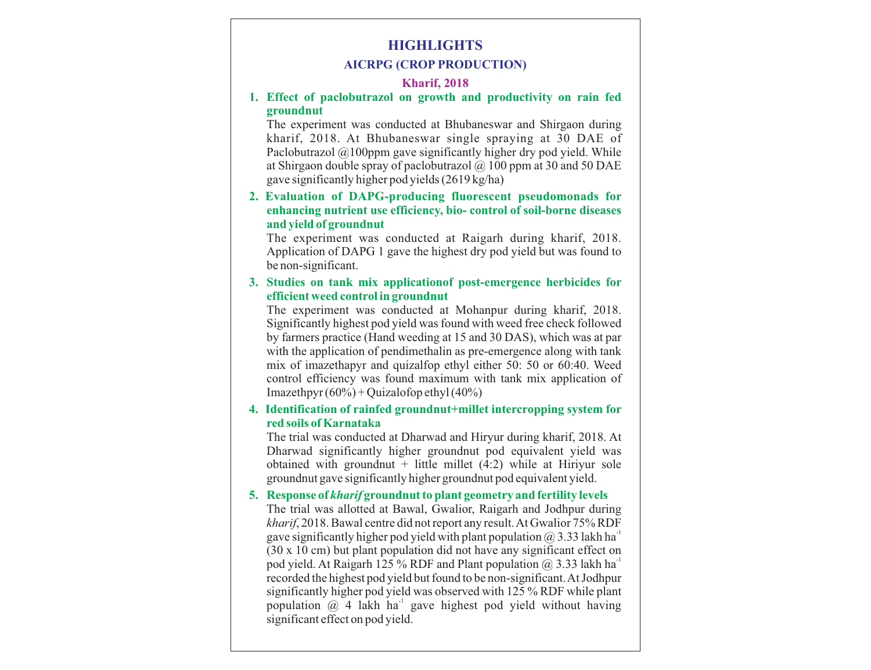# **HIGHLIGHTS**

#### **AICRPG (CROP PRODUCTION)**

#### **Kharif, 2018**

#### **1. Effect of paclobutrazol on growth and productivity on rain fed groundnut**

The experiment was conducted at Bhubaneswar and Shirgaon during kharif, 2018. At Bhubaneswar single spraying at 30 DAE of Paclobutrazol @100ppm gave significantly higher dry pod yield. While at Shirgaon double spray of paclobutrazol  $\omega$  100 ppm at 30 and 50 DAE gave significantly higher pod yields (2619 kg/ha)

#### **2. Evaluation of DAPG-producing fluorescent pseudomonads for enhancing nutrient use efficiency, bio- control of soil-borne diseases and yield of groundnut**

The experiment was conducted at Raigarh during kharif, 2018. Application of DAPG 1 gave the highest dry pod yield but was found to be non-significant.

#### **3. Studies on tank mix applicationof post-emergence herbicides for efficient weed control in groundnut**

The experiment was conducted at Mohanpur during kharif, 2018. Significantly highest pod yield was found with weed free check followed by farmers practice (Hand weeding at 15 and 30 DAS), which was at par with the application of pendimethalin as pre-emergence along with tank mix of imazethapyr and quizalfop ethyl either 50: 50 or 60:40. Weed control efficiency was found maximum with tank mix application of Imazethpyr  $(60\%)$  + Quizalofop ethyl  $(40\%)$ 

#### **4. Identification of rainfed groundnut+millet intercropping system for red soils of Karnataka**

The trial was conducted at Dharwad and Hiryur during kharif, 2018. At Dharwad significantly higher groundnut pod equivalent yield was obtained with groundnut  $+$  little millet (4:2) while at Hiriyur sole groundnut gave significantly higher groundnut pod equivalent yield.

#### **5. Response of** *kharif* **groundnut to plant geometry and fertility levels**

The trial was allotted at Bawal, Gwalior, Raigarh and Jodhpur during *kharif*, 2018. Bawal centre did not report any result. At Gwalior 75% RDF gave significantly higher pod yield with plant population  $@$  3.33 lakh ha<sup>1</sup> (30 x 10 cm) but plant population did not have any significant effect on pod yield. At Raigarh 125 % RDF and Plant population  $\omega$  3.33 lakh ha<sup>-1</sup> recorded the highest pod yield but found to be non-significant. At Jodhpur significantly higher pod yield was observed with 125 % RDF while plant population  $\omega$  4 lakh ha<sup>1</sup> gave highest pod yield without having significant effect on pod yield.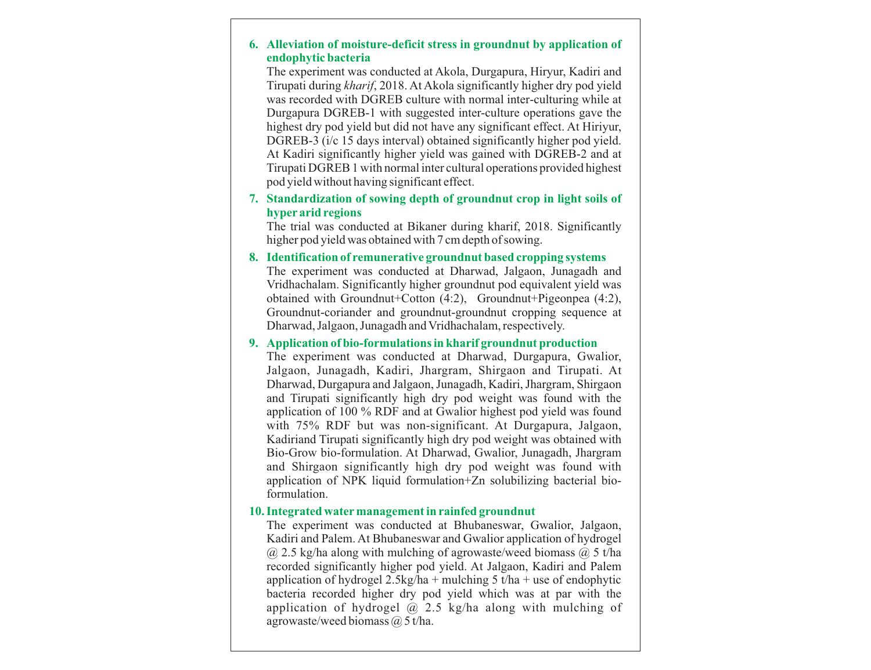#### **6. Alleviation of moisture-deficit stress in groundnut by application of endophytic bacteria**

The experiment was conducted at Akola, Durgapura, Hiryur, Kadiri and Tirupati during *kharif*, 2018. At Akola significantly higher dry pod yield was recorded with DGREB culture with normal inter-culturing while at Durgapura DGREB-1 with suggested inter-culture operations gave the highest dry pod yield but did not have any significant effect. At Hiriyur, DGREB-3 (i/c 15 days interval) obtained significantly higher pod yield. At Kadiri significantly higher yield was gained with DGREB-2 and at Tirupati DGREB 1 with normal inter cultural operations provided highest pod yield without having significant effect.

#### **7. Standardization of sowing depth of groundnut crop in light soils of hyper arid regions**

The trial was conducted at Bikaner during kharif, 2018. Significantly higher pod yield was obtained with 7 cm depth of sowing.

#### **8. Identification of remunerative groundnut based cropping systems**

The experiment was conducted at Dharwad, Jalgaon, Junagadh and Vridhachalam. Significantly higher groundnut pod equivalent yield was obtained with Groundnut+Cotton (4:2), Groundnut+Pigeonpea (4:2), Groundnut-coriander and groundnut-groundnut cropping sequence at Dharwad, Jalgaon, Junagadh and Vridhachalam, respectively.

#### **9. Application of bio-formulations in kharif groundnut production**

The experiment was conducted at Dharwad, Durgapura, Gwalior, Jalgaon, Junagadh, Kadiri, Jhargram, Shirgaon and Tirupati. At Dharwad, Durgapura and Jalgaon, Junagadh, Kadiri, Jhargram, Shirgaon and Tirupati significantly high dry pod weight was found with the application of 100 % RDF and at Gwalior highest pod yield was found with 75% RDF but was non-significant. At Durgapura, Jalgaon, Kadiriand Tirupati significantly high dry pod weight was obtained with Bio-Grow bio-formulation. At Dharwad, Gwalior, Junagadh, Jhargram and Shirgaon significantly high dry pod weight was found with application of NPK liquid formulation+Zn solubilizing bacterial bioformulation.

#### **10. Integrated watermanagement in rainfed groundnut**

The experiment was conducted at Bhubaneswar, Gwalior, Jalgaon, Kadiri and Palem. At Bhubaneswar and Gwalior application of hydrogel  $(a)$  2.5 kg/ha along with mulching of agrowaste/weed biomass  $(a)$  5 t/ha recorded significantly higher pod yield. At Jalgaon, Kadiri and Palem application of hydrogel  $2.5\text{kg/ha}$  + mulching 5 t/ha + use of endophytic bacteria recorded higher dry pod yield which was at par with the application of hydrogel  $\omega$  2.5 kg/ha along with mulching of agrowaste/weed biomass  $\omega$  5 t/ha.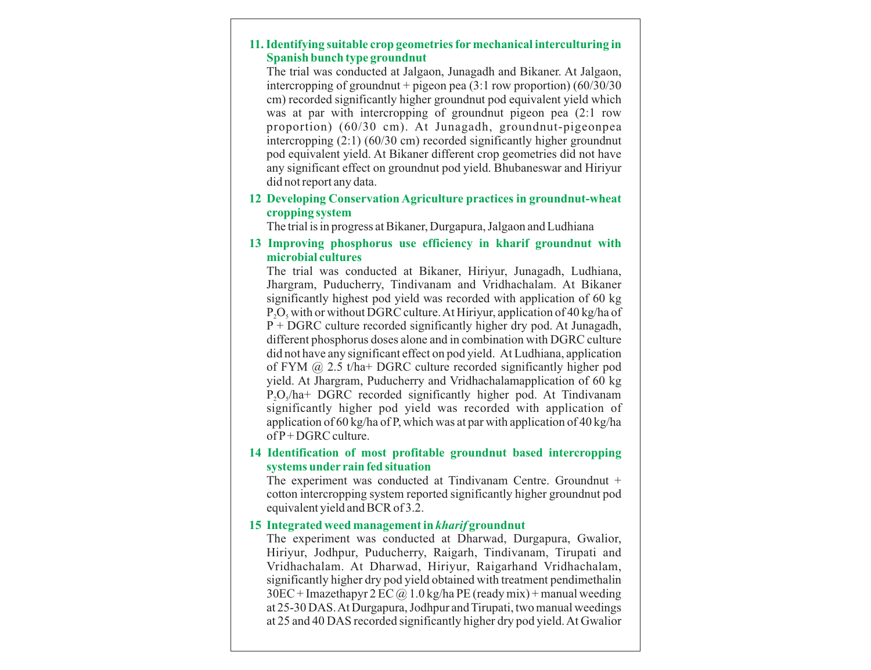#### **11. Identifying suitable crop geometries for mechanical interculturing in Spanish bunch type groundnut**

The trial was conducted at Jalgaon, Junagadh and Bikaner. At Jalgaon, intercropping of groundnut + pigeon pea  $(3:1$  row proportion)  $(60/30/30)$ cm) recorded significantly higher groundnut pod equivalent yield which was at par with intercropping of groundnut pigeon pea (2:1 row proportion) (60/30 cm). At Junagadh, groundnut-pigeonpea intercropping (2:1) (60/30 cm) recorded significantly higher groundnut pod equivalent yield. At Bikaner different crop geometries did not have any significant effect on groundnut pod yield. Bhubaneswar and Hiriyur did not report any data.

**12 Developing Conservation Agriculture practices in groundnut-wheat cropping system**

The trial is in progress at Bikaner, Durgapura, Jalgaon and Ludhiana

#### **13 Improving phosphorus use efficiency in kharif groundnut with microbial cultures**

The trial was conducted at Bikaner, Hiriyur, Junagadh, Ludhiana, Jhargram, Puducherry, Tindivanam and Vridhachalam. At Bikaner significantly highest pod yield was recorded with application of 60 kg  $P_1O_5$  with or without DGRC culture. At Hiriyur, application of 40 kg/ha of P + DGRC culture recorded significantly higher dry pod. At Junagadh, different phosphorus doses alone and in combination with DGRC culture did not have any significant effect on pod yield. At Ludhiana, application of FYM @ 2.5 t/ha+ DGRC culture recorded significantly higher pod yield. At Jhargram, Puducherry and Vridhachalamapplication of 60 kg  $P_1O_2/ha+DGRC$  recorded significantly higher pod. At Tindivanam significantly higher pod yield was recorded with application of application of 60 kg/ha of P, which was at par with application of 40 kg/ha of P+ DGRC culture.

#### **14 Identification of most profitable groundnut based intercropping systems under rain fed situation**

The experiment was conducted at Tindivanam Centre. Groundnut + cotton intercropping system reported significantly higher groundnut pod equivalent yield and BCR of 3.2.

#### **15 Integrated weed management in** *kharif* **groundnut**

The experiment was conducted at Dharwad, Durgapura, Gwalior, Hiriyur, Jodhpur, Puducherry, Raigarh, Tindivanam, Tirupati and Vridhachalam. At Dharwad, Hiriyur, Raigarhand Vridhachalam, significantly higher dry pod yield obtained with treatment pendimethalin  $30EC + Imaxethapur 2 EC @ 1.0 kg/ha PE (ready mix) + manual weeding$ at 25-30 DAS. At Durgapura, Jodhpur and Tirupati, two manual weedings at 25 and 40 DAS recorded significantly higher dry pod yield. At Gwalior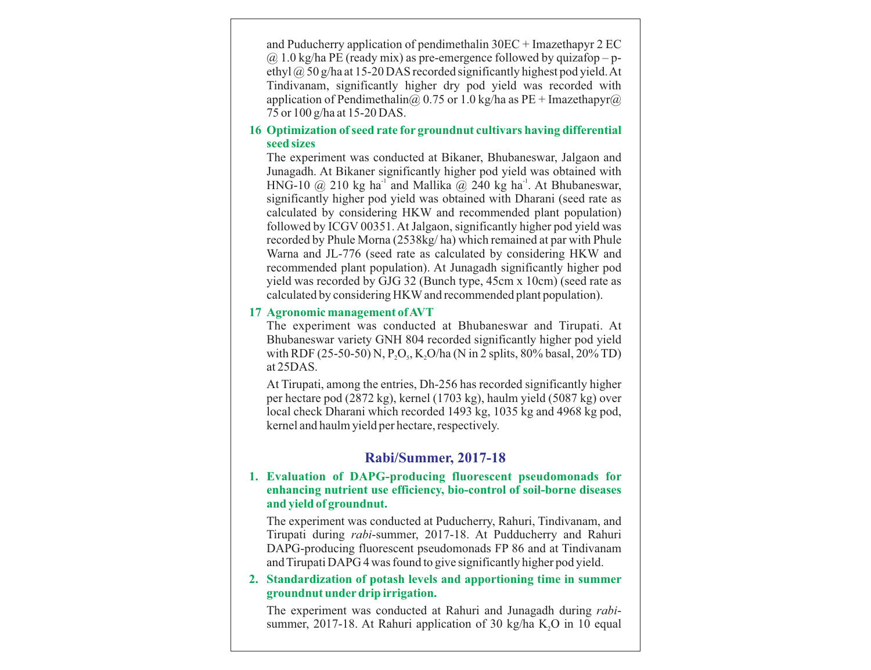and Puducherry application of pendimethalin 30EC + Imazethapyr 2 EC  $\omega$  1.0 kg/ha PE (ready mix) as pre-emergence followed by quizafop – pethyl @ 50 g/ha at 15-20 DAS recorded significantly highest pod yield. At Tindivanam, significantly higher dry pod yield was recorded with application of Pendimethalin@ 0.75 or 1.0 kg/ha as PE + Imazethapyr@ 75 or 100 g/ha at 15-20 DAS.

#### **16 Optimization of seed rate for groundnut cultivars having differential seed sizes**

The experiment was conducted at Bikaner, Bhubaneswar, Jalgaon and Junagadh. At Bikaner significantly higher pod yield was obtained with HNG-10  $\omega$  210 kg ha<sup>-1</sup> and Mallika  $\omega$  240 kg ha<sup>-1</sup>. At Bhubaneswar, significantly higher pod yield was obtained with Dharani (seed rate as calculated by considering HKW and recommended plant population) followed by ICGV 00351. At Jalgaon, significantly higher pod yield was recorded by Phule Morna (2538kg/ ha) which remained at par with Phule Warna and JL-776 (seed rate as calculated by considering HKW and recommended plant population). At Junagadh significantly higher pod yield was recorded by GJG 32 (Bunch type, 45cm x 10cm) (seed rate as calculated by considering HKWand recommended plant population).

#### **17 Agronomic management of AVT**

The experiment was conducted at Bhubaneswar and Tirupati. At Bhubaneswar variety GNH 804 recorded significantly higher pod yield with RDF (25-50-50) N, P<sub>2</sub>O<sub>5</sub>, K<sub>2</sub>O/ha (N in 2 splits, 80% basal, 20% TD) at 25DAS.

At Tirupati, among the entries, Dh-256 has recorded significantly higher per hectare pod (2872 kg), kernel (1703 kg), haulm yield (5087 kg) over local check Dharani which recorded 1493 kg, 1035 kg and 4968 kg pod, kernel and haulm yield per hectare, respectively.

# **Rabi/Summer, 2017-18**

#### **1. Evaluation of DAPG-producing fluorescent pseudomonads for enhancing nutrient use efficiency, bio-control of soil-borne diseases and yield of groundnut.**

The experiment was conducted at Puducherry, Rahuri, Tindivanam, and Tirupati during *rabi*-summer, 2017-18. At Pudducherry and Rahuri DAPG-producing fluorescent pseudomonads FP 86 and at Tindivanam and Tirupati DAPG 4 was found to give significantly higher pod yield.

#### **2. Standardization of potash levels and apportioning time in summer groundnut underdrip irrigation.**

The experiment was conducted at Rahuri and Junagadh during *rabi*summer, 2017-18. At Rahuri application of 30 kg/ha K,O in 10 equal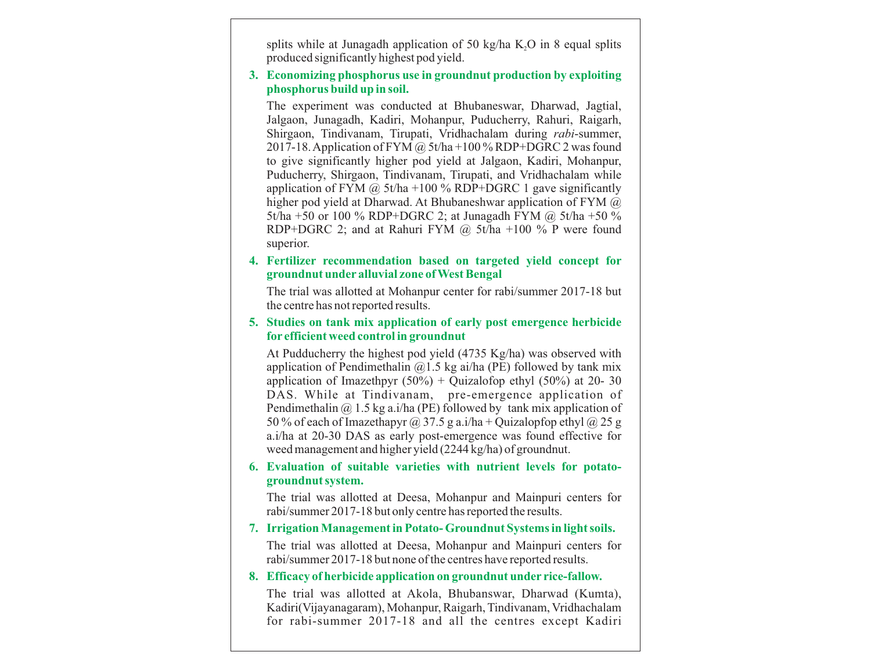splits while at Junagadh application of 50 kg/ha  $K<sub>2</sub>O$  in 8 equal splits produced significantly highest pod yield.

#### **3. Economizing phosphorus use in groundnut production by exploiting phosphorus build up in soil.**

The experiment was conducted at Bhubaneswar, Dharwad, Jagtial, Jalgaon, Junagadh, Kadiri, Mohanpur, Puducherry, Rahuri, Raigarh, Shirgaon, Tindivanam, Tirupati, Vridhachalam during *rabi*-summer, 2017-18. Application of FYM @ 5t/ha +100 % RDP+DGRC 2 was found to give significantly higher pod yield at Jalgaon, Kadiri, Mohanpur, Puducherry, Shirgaon, Tindivanam, Tirupati, and Vridhachalam while application of FYM  $\omega$  5t/ha +100 % RDP+DGRC 1 gave significantly higher pod yield at Dharwad. At Bhubaneshwar application of FYM @ 5t/ha +50 or 100 % RDP+DGRC 2; at Junagadh FYM @ 5t/ha +50 % RDP+DGRC 2; and at Rahuri FYM  $\omega$  5t/ha +100 % P were found superior.

#### **4. Fertilizer recommendation based on targeted yield concept for groundnut under alluvial zone of West Bengal**

The trial was allotted at Mohanpur center for rabi/summer 2017-18 but the centre has not reported results.

#### **5. Studies on tank mix application of early post emergence herbicide for efficient weed control in groundnut**

At Pudducherry the highest pod yield (4735 Kg/ha) was observed with application of Pendimethalin  $(a)$ 1.5 kg ai/ha (PE) followed by tank mix application of Imazethpyr  $(50\%) +$  Quizalofop ethyl  $(50\%)$  at 20- 30 DAS. While at Tindivanam, pre-emergence application of Pendimethalin  $\omega$  1.5 kg a.i/ha (PE) followed by tank mix application of 50 % of each of Imazethapyr @ 37.5 g a.i/ha + Quizalopfop ethyl @ 25 g a.i/ha at 20-30 DAS as early post-emergence was found effective for weed management and higher yield (2244 kg/ha) of groundnut.

#### **6. Evaluation of suitable varieties with nutrient levels for potatogroundnut system.**

The trial was allotted at Deesa, Mohanpur and Mainpuri centers for rabi/summer 2017-18 but only centre has reported the results.

#### **7. Irrigation Management in Potato- Groundnut Systems in light soils.**

The trial was allotted at Deesa, Mohanpur and Mainpuri centers for rabi/summer 2017-18 but none of the centres have reported results.

#### **8. Efficacy of herbicide application on groundnut under rice-fallow.**

The trial was allotted at Akola, Bhubanswar, Dharwad (Kumta), Kadiri(Vijayanagaram), Mohanpur, Raigarh, Tindivanam, Vridhachalam for rabi-summer 2017-18 and all the centres except Kadiri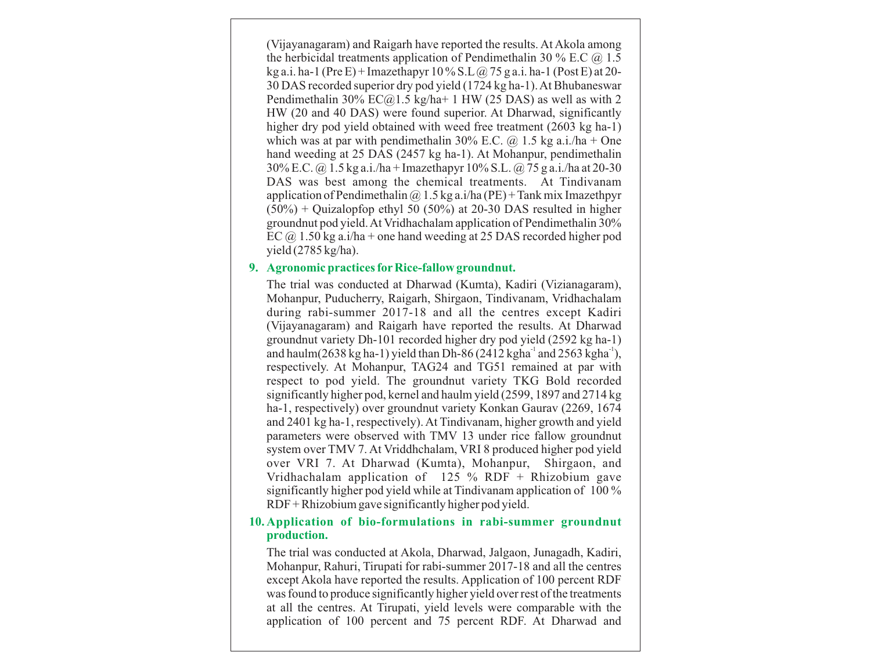(Vijayanagaram) and Raigarh have reported the results. At Akola among the herbicidal treatments application of Pendimethalin 30 % E.C  $\omega$  1.5 kg a.i. ha-1 (Pre E) + Imazethapyr  $10\%$  S.L $\omega$  75 g a.i. ha-1 (Post E) at 20-30 DAS recorded superior dry pod yield (1724 kg ha-1). At Bhubaneswar Pendimethalin 30%  $EC@1.5$  kg/ha+ 1 HW (25 DAS) as well as with 2 HW (20 and 40 DAS) were found superior. At Dharwad, significantly higher dry pod yield obtained with weed free treatment (2603 kg ha-1) which was at par with pendimethalin 30% E.C.  $\omega$  1.5 kg a.i./ha + One hand weeding at 25 DAS (2457 kg ha-1). At Mohanpur, pendimethalin 30% E.C. @ 1.5 kg a.i./ha + Imazethapyr 10% S.L. @ 75 g a.i./ha at 20-30 DAS was best among the chemical treatments. At Tindivanam application of Pendimethalin  $\omega$  1.5 kg a.i/ha (PE) + Tank mix Imazethpyr  $(50\%)$  + Quizalopfop ethyl 50 (50%) at 20-30 DAS resulted in higher groundnut pod yield. At Vridhachalam application of Pendimethalin 30% EC  $\omega$  1.50 kg a.i/ha + one hand weeding at 25 DAS recorded higher pod yield (2785 kg/ha).

#### **9. Agronomic practices for Rice-fallow groundnut.**

The trial was conducted at Dharwad (Kumta), Kadiri (Vizianagaram), Mohanpur, Puducherry, Raigarh, Shirgaon, Tindivanam, Vridhachalam during rabi-summer 2017-18 and all the centres except Kadiri (Vijayanagaram) and Raigarh have reported the results. At Dharwad groundnut variety Dh-101 recorded higher dry pod yield (2592 kg ha-1) and haulm(2638 kg ha-1) yield than Dh-86 (2412 kgha $^{-1}$  and 2563 kgha $^{-1}$ ), respectively. At Mohanpur, TAG24 and TG51 remained at par with respect to pod yield. The groundnut variety TKG Bold recorded significantly higher pod, kernel and haulm yield (2599, 1897 and 2714 kg ha-1, respectively) over groundnut variety Konkan Gaurav (2269, 1674 and 2401 kg ha-1, respectively). At Tindivanam, higher growth and yield parameters were observed with TMV 13 under rice fallow groundnut system over TMV 7. At Vriddhchalam, VRI 8 produced higher pod yield over VRI 7. At Dharwad (Kumta), Mohanpur, Shirgaon, and Vridhachalam application of 125 % RDF + Rhizobium gave significantly higher pod yield while at Tindivanam application of 100 % RDF + Rhizobium gave significantly higher pod yield.

#### **10. Application of bio-formulations in rabi-summer groundnut production.**

The trial was conducted at Akola, Dharwad, Jalgaon, Junagadh, Kadiri, Mohanpur, Rahuri, Tirupati for rabi-summer 2017-18 and all the centres except Akola have reported the results. Application of 100 percent RDF was found to produce significantly higher yield over rest of the treatments at all the centres. At Tirupati, yield levels were comparable with the application of 100 percent and 75 percent RDF. At Dharwad and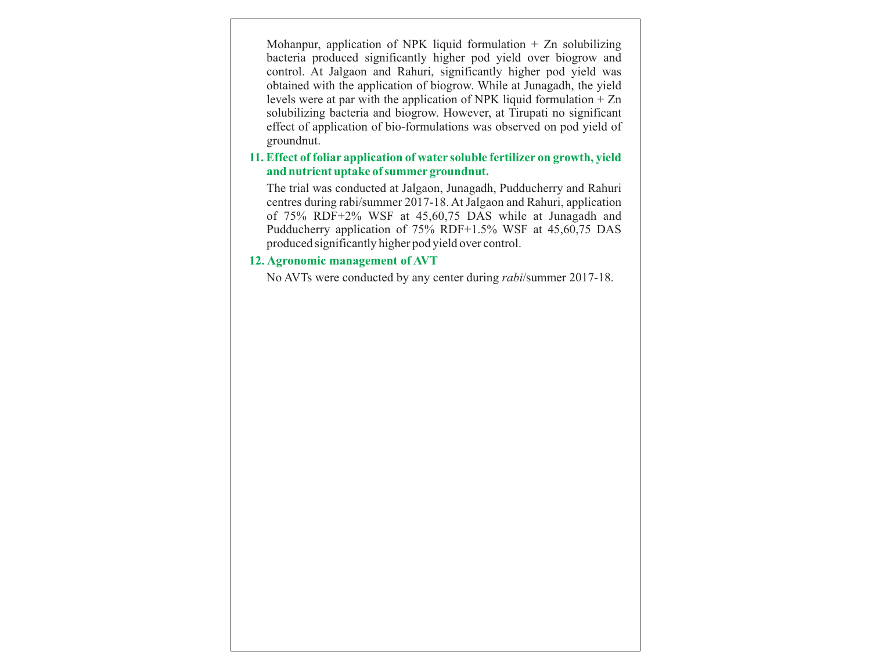Mohanpur, application of NPK liquid formulation  $+$  Zn solubilizing bacteria produced significantly higher pod yield over biogrow and control. At Jalgaon and Rahuri, significantly higher pod yield was obtained with the application of biogrow. While at Junagadh, the yield levels were at par with the application of NPK liquid formulation + Zn solubilizing bacteria and biogrow. However, at Tirupati no significant effect of application of bio-formulations was observed on pod yield of groundnut.

#### **11. Effect of foliar application of water soluble fertilizer on growth, yield and nutrient uptake of summer groundnut.**

The trial was conducted at Jalgaon, Junagadh, Pudducherry and Rahuri centres during rabi/summer 2017-18. At Jalgaon and Rahuri, application of 75% RDF+2% WSF at 45,60,75 DAS while at Junagadh and Pudducherry application of 75% RDF+1.5% WSF at 45,60,75 DAS produced significantly higher pod yield over control.

#### **12. Agronomic management of AVT**

No AVTs were conducted by any center during *rabi*/summer 2017-18.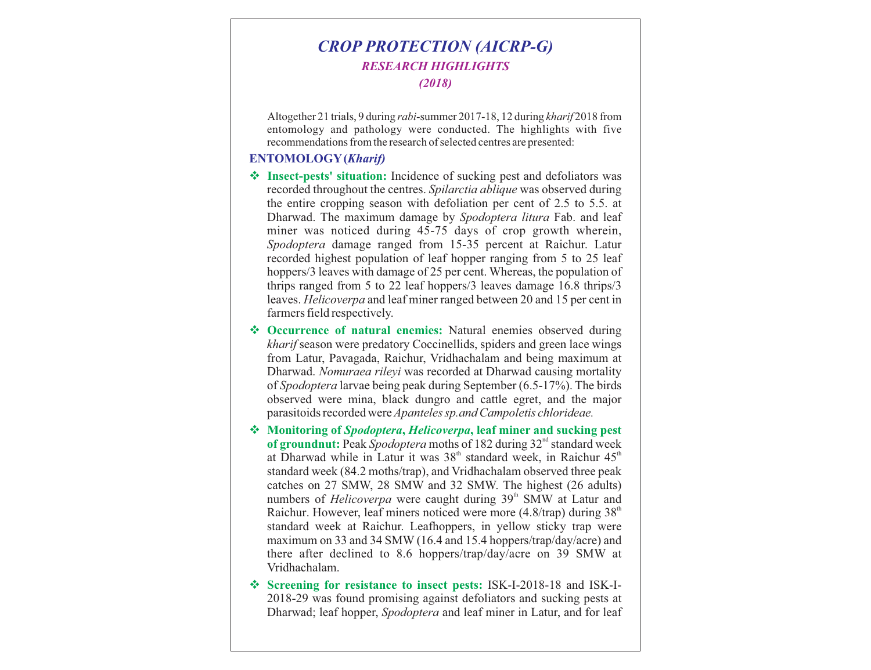# *CROP PROTECTION (AICRP-G) RESEARCH HIGHLIGHTS (2018)*

Altogether 21 trials, 9 during *rabi*-summer 2017-18, 12 during *kharif* 2018 from entomology and pathology were conducted. The highlights with five recommendations from the research of selected centres are presented:

#### **ENTOMOLOGY(***Kharif)*

- \* Insect-pests' situation: Incidence of sucking pest and defoliators was recorded throughout the centres. *Spilarctia ablique* was observed during the entire cropping season with defoliation per cent of 2.5 to 5.5. at Dharwad. The maximum damage by *Spodoptera litura* Fab. and leaf miner was noticed during 45-75 days of crop growth wherein, *Spodoptera* damage ranged from 15-35 percent at Raichur. Latur recorded highest population of leaf hopper ranging from 5 to 25 leaf hoppers/3 leaves with damage of 25 per cent. Whereas, the population of thrips ranged from 5 to 22 leaf hoppers/3 leaves damage 16.8 thrips/3 leaves. *Helicoverpa* and leaf miner ranged between 20 and 15 per cent in farmers field respectively.
- **◆ Occurrence of natural enemies:** Natural enemies observed during *kharif* season were predatory Coccinellids, spiders and green lace wings from Latur, Pavagada, Raichur, Vridhachalam and being maximum at Dharwad. *Nomuraea rileyi* was recorded at Dharwad causing mortality of *Spodoptera* larvae being peak during September (6.5-17%). The birds observed were mina, black dungro and cattle egret, and the major parasitoids recorded were *Apanteles sp.and Campoletis chlorideae.*
- v **Monitoring of** *Spodoptera***,** *Helicoverpa***, leaf miner and sucking pest of groundnut:** Peak *Spodoptera* moths of 182 during 32<sup>nd</sup> standard week at Dharwad while in Latur it was  $38<sup>th</sup>$  standard week, in Raichur  $45<sup>th</sup>$ standard week (84.2 moths/trap), and Vridhachalam observed three peak catches on 27 SMW, 28 SMW and 32 SMW. The highest (26 adults) numbers of *Helicoverpa* were caught during 39<sup>th</sup> SMW at Latur and Raichur. However, leaf miners noticed were more (4.8/trap) during  $38<sup>th</sup>$ standard week at Raichur. Leafhoppers, in yellow sticky trap were maximum on 33 and 34 SMW (16.4 and 15.4 hoppers/trap/day/acre) and there after declined to 8.6 hoppers/trap/day/acre on 39 SMW at Vridhachalam.
- v **Screening for resistance to insect pests:** ISK-I-2018-18 and ISK-I-2018-29 was found promising against defoliators and sucking pests at Dharwad; leaf hopper, *Spodoptera* and leaf miner in Latur, and for leaf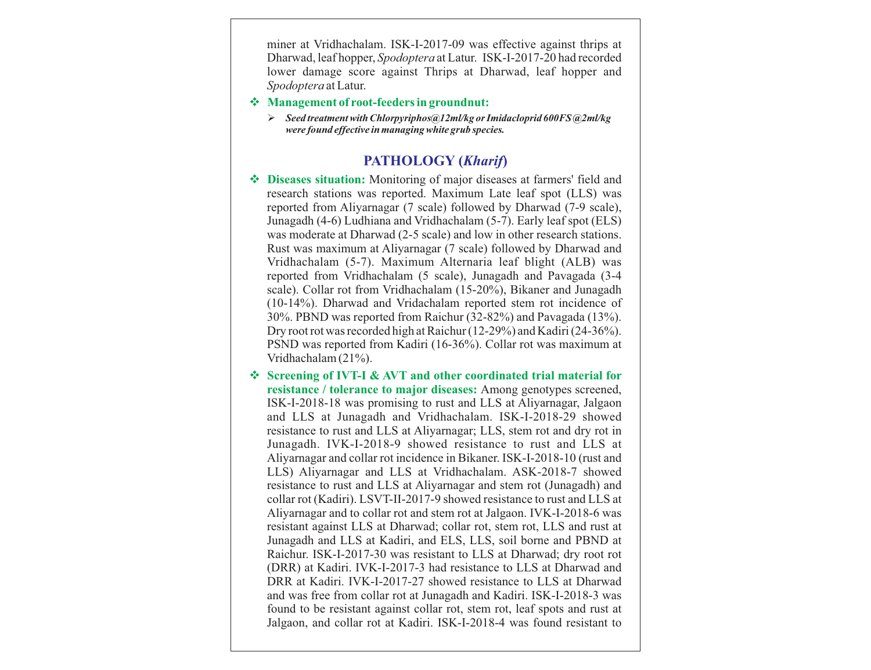miner at Vridhachalam. ISK-I-2017-09 was effective against thrips at Dharwad, leaf hopper, *Spodoptera* at Latur. ISK-I-2017-20 had recorded lower damage score against Thrips at Dharwad, leaf hopper and *Spodoptera* at Latur.

- v **Management of root-feeders in groundnut:** 
	- Ø *Seed treatment with Chlorpyriphos@12ml/kg or Imidacloprid 600FS @2ml/kg were found effective in managing white grub species.*

# **PATHOLOGY (***Kharif***)**

- v **Diseases situation:** Monitoring of major diseases at farmers' field and research stations was reported. Maximum Late leaf spot (LLS) was reported from Aliyarnagar (7 scale) followed by Dharwad (7-9 scale), Junagadh (4-6) Ludhiana and Vridhachalam (5-7). Early leaf spot (ELS) was moderate at Dharwad (2-5 scale) and low in other research stations. Rust was maximum at Aliyarnagar (7 scale) followed by Dharwad and Vridhachalam (5-7). Maximum Alternaria leaf blight (ALB) was reported from Vridhachalam (5 scale), Junagadh and Pavagada (3-4 scale). Collar rot from Vridhachalam (15-20%), Bikaner and Junagadh (10-14%). Dharwad and Vridachalam reported stem rot incidence of 30%. PBND was reported from Raichur (32-82%) and Pavagada (13%). Dry root rot was recorded high at Raichur (12-29%) and Kadiri (24-36%). PSND was reported from Kadiri (16-36%). Collar rot was maximum at Vridhachalam (21%).
- v **Screening of IVT-I & AVT and other coordinated trial material for resistance / tolerance to major diseases:** Among genotypes screened, ISK-I-2018-18 was promising to rust and LLS at Aliyarnagar, Jalgaon and LLS at Junagadh and Vridhachalam. ISK-I-2018-29 showed resistance to rust and LLS at Aliyarnagar; LLS, stem rot and dry rot in Junagadh. IVK-I-2018-9 showed resistance to rust and LLS at Aliyarnagar and collar rot incidence in Bikaner. ISK-I-2018-10 (rust and LLS) Aliyarnagar and LLS at Vridhachalam. ASK-2018-7 showed resistance to rust and LLS at Aliyarnagar and stem rot (Junagadh) and collar rot (Kadiri). LSVT-II-2017-9 showed resistance to rust and LLS at Aliyarnagar and to collar rot and stem rot at Jalgaon. IVK-I-2018-6 was resistant against LLS at Dharwad; collar rot, stem rot, LLS and rust at Junagadh and LLS at Kadiri, and ELS, LLS, soil borne and PBND at Raichur. ISK-I-2017-30 was resistant to LLS at Dharwad; dry root rot (DRR) at Kadiri. IVK-I-2017-3 had resistance to LLS at Dharwad and DRR at Kadiri. IVK-I-2017-27 showed resistance to LLS at Dharwad and was free from collar rot at Junagadh and Kadiri. ISK-I-2018-3 was found to be resistant against collar rot, stem rot, leaf spots and rust at Jalgaon, and collar rot at Kadiri. ISK-I-2018-4 was found resistant to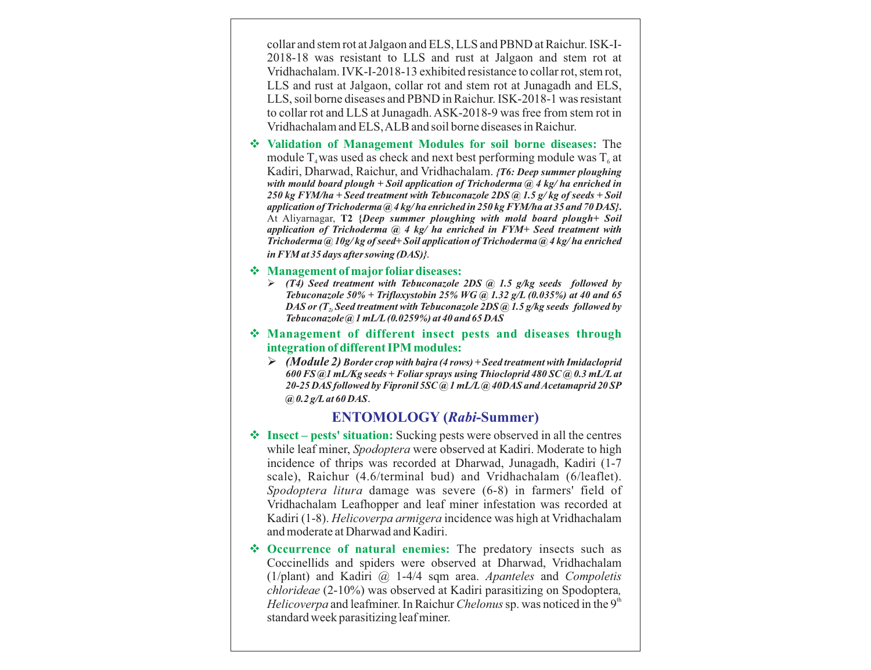collar and stem rot at Jalgaon and ELS, LLS and PBND at Raichur. ISK-I-2018-18 was resistant to LLS and rust at Jalgaon and stem rot at Vridhachalam. IVK-I-2018-13 exhibited resistance to collar rot, stem rot, LLS and rust at Jalgaon, collar rot and stem rot at Junagadh and ELS, LLS, soil borne diseases and PBND in Raichur. ISK-2018-1 was resistant to collar rot and LLS at Junagadh. ASK-2018-9 was free from stem rot in Vridhachalam and ELS, ALB and soil borne diseases in Raichur.

v **Validation of Management Modules for soil borne diseases:** The module  $T_{4}$  was used as check and next best performing module was  $T_{6}$  at Kadiri, Dharwad, Raichur, and Vridhachalam. *{T6: Deep summer ploughing with mould board plough + Soil application of Trichoderma @ 4 kg/ ha enriched in 250 kg FYM/ha + Seed treatment with Tebuconazole 2DS @ 1.5 g/ kg of seeds + Soil application of Trichoderma @ 4 kg/ ha enriched in 250 kg FYM/ha at 35 and 70 DAS}***.**  At Aliyarnagar, **T2 {***Deep summer ploughing with mold board plough+ Soil application of Trichoderma @ 4 kg/ ha enriched in FYM+ Seed treatment with Trichoderma @ 10g/ kg of seed+ Soil application of Trichoderma @ 4 kg/ ha enriched in FYM at 35 days after sowing (DAS)}.*

#### v **Management of major foliardiseases:**

- Ø *(T4) Seed treatment with Tebuconazole 2DS @ 1.5 g/kg seeds followed by Tebuconazole 50% + Trifloxystobin 25% WG @ 1.32 g/L (0.035%) at 40 and 65 DAS or (T2)Seed treatment with Tebuconazole 2DS @ 1.5 g/kg seeds followed by Tebuconazole @ 1 mL/L(0.0259%) at 40 and 65 DAS*
- v **Management of different insect pests and diseases through integration of different IPM modules:** 
	- Ø *(Module 2) Border crop with bajra (4 rows) + Seed treatment with Imidacloprid 600 FS @1 mL/Kg seeds + Foliar sprays using Thiocloprid 480 SC @ 0.3 mL/Lat 20-25 DAS followed by Fipronil 5SC @ 1 mL/L@ 40DAS and Acetamaprid 20 SP @ 0.2 g/Lat 60 DAS*.

#### **ENTOMOLOGY (***Rabi***-Summer)**

- v **Insect pests' situation:** Sucking pests were observed in all the centres while leaf miner, *Spodoptera* were observed at Kadiri. Moderate to high incidence of thrips was recorded at Dharwad, Junagadh, Kadiri (1-7 scale), Raichur (4.6/terminal bud) and Vridhachalam (6/leaflet). *Spodoptera litura* damage was severe (6-8) in farmers' field of Vridhachalam Leafhopper and leaf miner infestation was recorded at Kadiri (1-8). *Helicoverpa armigera* incidence was high at Vridhachalam and moderate at Dharwad and Kadiri.
- v **Occurrence of natural enemies:** The predatory insects such as Coccinellids and spiders were observed at Dharwad, Vridhachalam (1/plant) and Kadiri @ 1-4/4 sqm area. *Apanteles* and *Compoletis chlorideae* (2-10%) was observed at Kadiri parasitizing on Spodoptera*,*  Helicoverpa and leafminer. In Raichur *Chelonus* sp. was noticed in the 9<sup>th</sup> standard week parasitizing leaf miner.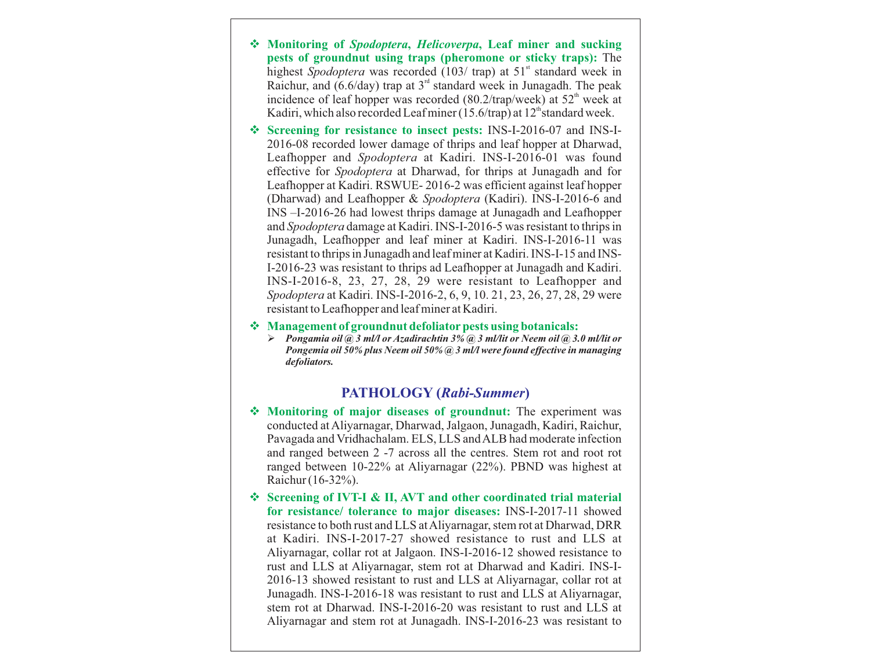- v **Monitoring of** *Spodoptera***,** *Helicoverpa***, Leaf miner and sucking pests of groundnut using traps (pheromone or sticky traps):** The highest *Spodoptera* was recorded (103/ trap) at 51<sup>st</sup> standard week in Raichur, and (6.6/day) trap at  $3<sup>rd</sup>$  standard week in Junagadh. The peak incidence of leaf hopper was recorded (80.2/trap/week) at  $52<sup>th</sup>$  week at Kadiri, which also recorded Leaf miner (15.6/trap) at  $12<sup>th</sup>$  standard week.
- v **Screening for resistance to insect pests:** INS-I-2016-07 and INS-I-2016-08 recorded lower damage of thrips and leaf hopper at Dharwad, Leafhopper and *Spodoptera* at Kadiri. INS-I-2016-01 was found effective for *Spodoptera* at Dharwad, for thrips at Junagadh and for Leafhopper at Kadiri. RSWUE- 2016-2 was efficient against leaf hopper (Dharwad) and Leafhopper & *Spodoptera* (Kadiri). INS-I-2016-6 and INS –I-2016-26 had lowest thrips damage at Junagadh and Leafhopper and *Spodoptera* damage at Kadiri. INS-I-2016-5 was resistant to thrips in Junagadh, Leafhopper and leaf miner at Kadiri. INS-I-2016-11 was resistant to thrips in Junagadh and leaf miner at Kadiri. INS-I-15 and INS-I-2016-23 was resistant to thrips ad Leafhopper at Junagadh and Kadiri. INS-I-2016-8, 23, 27, 28, 29 were resistant to Leafhopper and *Spodoptera* at Kadiri. INS-I-2016-2, 6, 9, 10. 21, 23, 26, 27, 28, 29 were resistant to Leafhopper and leaf miner at Kadiri.
- v **Management of groundnut defoliatorpests using botanicals:** 
	- Ø *Pongamia oil @ 3 ml/l or Azadirachtin 3% @ 3 ml/lit or Neem oil @ 3.0 ml/lit or Pongemia oil 50% plus Neem oil 50% @ 3 ml/l were found effective in managing defoliators.*

# **PATHOLOGY (***Rabi-Summer***)**

- Monitoring of major diseases of groundnut: The experiment was conducted at Aliyarnagar, Dharwad, Jalgaon, Junagadh, Kadiri, Raichur, Pavagada and Vridhachalam. ELS, LLS and ALB had moderate infection and ranged between 2 -7 across all the centres. Stem rot and root rot ranged between 10-22% at Aliyarnagar (22%). PBND was highest at Raichur (16-32%).
- v **Screening of IVT-I & II, AVT and other coordinated trial material for resistance/ tolerance to major diseases:** INS-I-2017-11 showed resistance to both rust and LLS at Aliyarnagar, stem rot at Dharwad, DRR at Kadiri. INS-I-2017-27 showed resistance to rust and LLS at Aliyarnagar, collar rot at Jalgaon. INS-I-2016-12 showed resistance to rust and LLS at Aliyarnagar, stem rot at Dharwad and Kadiri. INS-I-2016-13 showed resistant to rust and LLS at Aliyarnagar, collar rot at Junagadh. INS-I-2016-18 was resistant to rust and LLS at Aliyarnagar, stem rot at Dharwad. INS-I-2016-20 was resistant to rust and LLS at Aliyarnagar and stem rot at Junagadh. INS-I-2016-23 was resistant to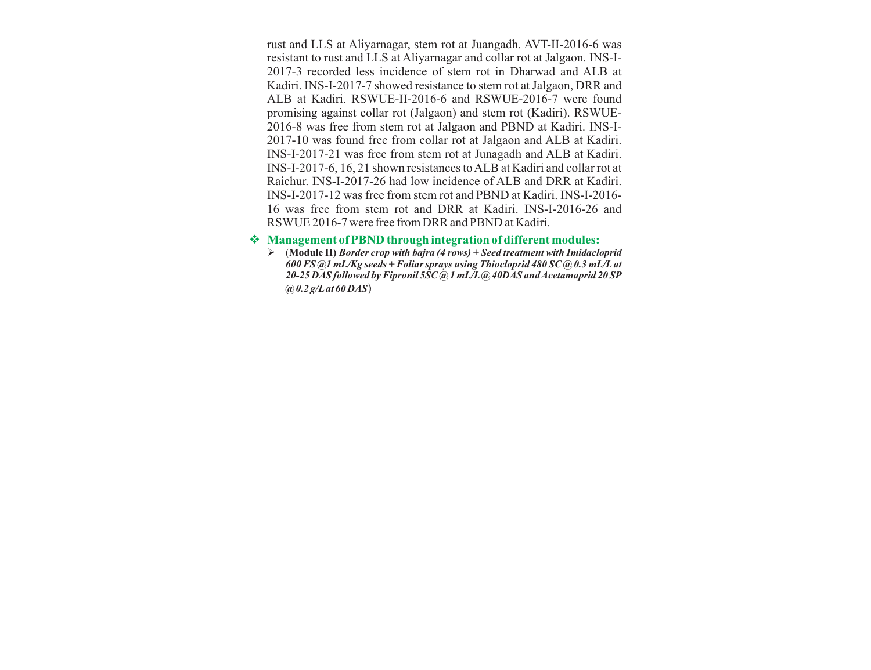rust and LLS at Aliyarnagar, stem rot at Juangadh. AVT-II-2016-6 was resistant to rust and LLS at Aliyarnagar and collar rot at Jalgaon. INS-I-2017-3 recorded less incidence of stem rot in Dharwad and ALB at Kadiri. INS-I-2017-7 showed resistance to stem rot at Jalgaon, DRR and ALB at Kadiri. RSWUE-II-2016-6 and RSWUE-2016-7 were found promising against collar rot (Jalgaon) and stem rot (Kadiri). RSWUE-2016-8 was free from stem rot at Jalgaon and PBND at Kadiri. INS-I-2017-10 was found free from collar rot at Jalgaon and ALB at Kadiri. INS-I-2017-21 was free from stem rot at Junagadh and ALB at Kadiri. INS-I-2017-6, 16, 21 shown resistances to ALB at Kadiri and collar rot at Raichur. INS-I-2017-26 had low incidence of ALB and DRR at Kadiri. INS-I-2017-12 was free from stem rot and PBND at Kadiri. INS-I-2016- 16 was free from stem rot and DRR at Kadiri. INS-I-2016-26 and RSWUE 2016-7 were free from DRR and PBND at Kadiri.

#### v **Management of PBND through integration of different modules:**

Ø (**Module II)** *Border crop with bajra (4 rows) + Seed treatment with Imidacloprid 600 FS @1 mL/Kg seeds + Foliar sprays using Thiocloprid 480 SC @ 0.3 mL/Lat 20-25 DAS followed by Fipronil 5SC @ 1 mL/L@ 40DAS and Acetamaprid 20 SP @ 0.2 g/Lat 60 DAS*)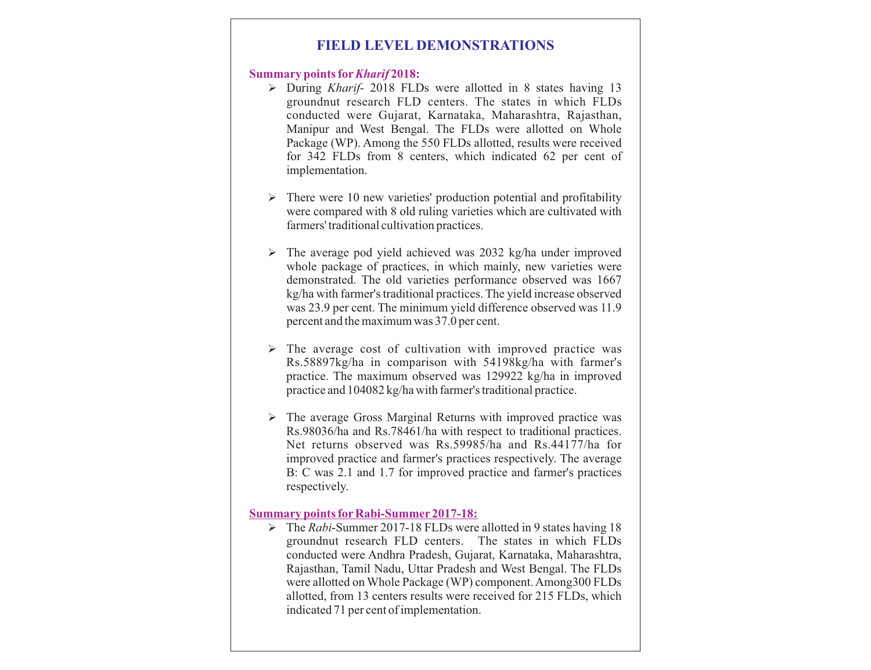# **FIELD LEVEL DEMONSTRATIONS**

#### **Summary points for***Kharif* **2018:**

- Ø During *Kharif* 2018 FLDs were allotted in 8 states having 13 groundnut research FLD centers. The states in which FLDs conducted were Gujarat, Karnataka, Maharashtra, Rajasthan, Manipur and West Bengal. The FLDs were allotted on Whole Package (WP). Among the 550 FLDs allotted, results were received for 342 FLDs from 8 centers, which indicated 62 per cent of implementation.
- $\triangleright$  There were 10 new varieties' production potential and profitability were compared with 8 old ruling varieties which are cultivated with farmers' traditional cultivation practices.
- $\triangleright$  The average pod yield achieved was 2032 kg/ha under improved whole package of practices, in which mainly, new varieties were demonstrated. The old varieties performance observed was 1667 kg/ha with farmer's traditional practices. The yield increase observed was 23.9 per cent. The minimum yield difference observed was 11.9 percent and the maximum was 37.0 per cent.
- $\triangleright$  The average cost of cultivation with improved practice was Rs.58897kg/ha in comparison with 54198kg/ha with farmer's practice. The maximum observed was 129922 kg/ha in improved practice and 104082 kg/ha with farmer's traditional practice.
- $\triangleright$  The average Gross Marginal Returns with improved practice was Rs.98036/ha and Rs.78461/ha with respect to traditional practices. Net returns observed was Rs.59985/ha and Rs.44177/ha for improved practice and farmer's practices respectively. The average B: C was 2.1 and 1.7 for improved practice and farmer's practices respectively.

#### **Summary points forRabi-Summer 2017-18:**

Ø The *Rabi*-Summer 2017-18 FLDs were allotted in 9 states having 18 groundnut research FLD centers. The states in which FLDs conducted were Andhra Pradesh, Gujarat, Karnataka, Maharashtra, Rajasthan, Tamil Nadu, Uttar Pradesh and West Bengal. The FLDs were allotted on Whole Package (WP) component. Among300 FLDs allotted, from 13 centers results were received for 215 FLDs, which indicated 71 per cent of implementation.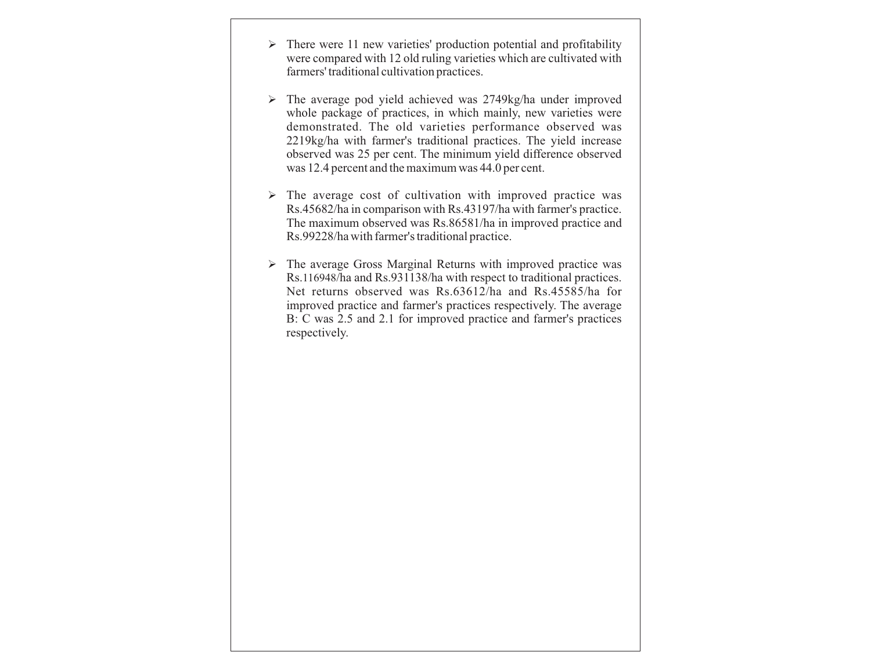- $\triangleright$  There were 11 new varieties' production potential and profitability were compared with 12 old ruling varieties which are cultivated with farmers' traditional cultivation practices.
- $\triangleright$  The average pod yield achieved was 2749kg/ha under improved whole package of practices, in which mainly, new varieties were demonstrated. The old varieties performance observed was 2219kg/ha with farmer's traditional practices. The yield increase observed was 25 per cent. The minimum yield difference observed was 12.4 percent and the maximum was 44.0 per cent.
- $\triangleright$  The average cost of cultivation with improved practice was Rs.45682/ha in comparison with Rs.43197/ha with farmer's practice. The maximum observed was Rs.86581/ha in improved practice and Rs.99228/ha with farmer's traditional practice.
- $\triangleright$  The average Gross Marginal Returns with improved practice was Rs.116948/ha and Rs.931138/ha with respect to traditional practices. Net returns observed was Rs.63612/ha and Rs.45585/ha for improved practice and farmer's practices respectively. The average B: C was 2.5 and 2.1 for improved practice and farmer's practices respectively.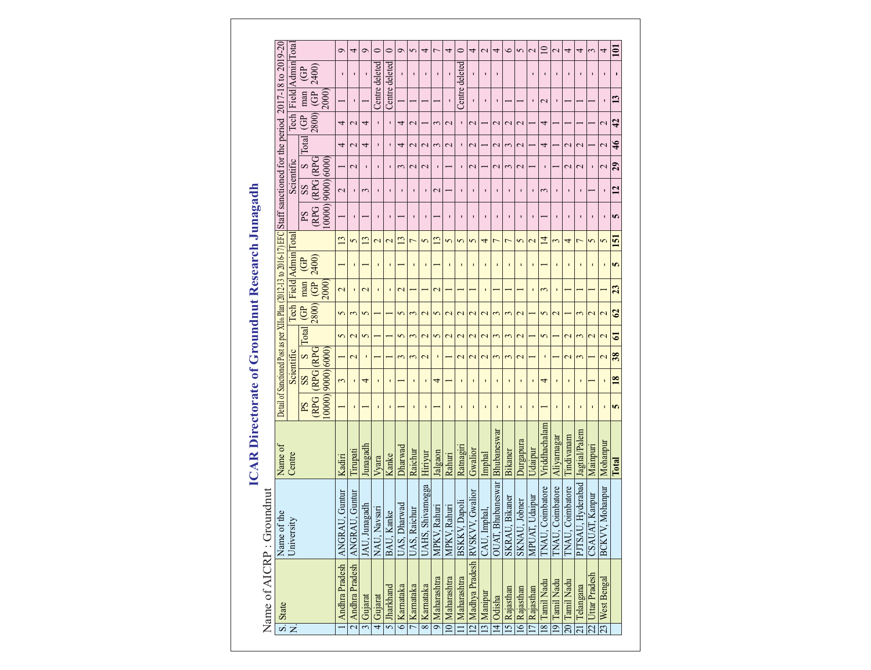|                                                                                                                        |                                                                                                                                                                          |                                                                  | ᢦ                        | 4                                 | Ó                        | 0                 | 0                 | Ò                 | 5              | 4                        | 7                 | 4                       | $\circ$                  | 4                                     | $\mathbf{\sim}$          | 4                 | $\bullet$      | 5                       | $\mathbf{C}$      | $\Xi$            | $\mathbf{\sim}$          | 4                 | 4                        | 3                | 4                        | 101           |
|------------------------------------------------------------------------------------------------------------------------|--------------------------------------------------------------------------------------------------------------------------------------------------------------------------|------------------------------------------------------------------|--------------------------|-----------------------------------|--------------------------|-------------------|-------------------|-------------------|----------------|--------------------------|-------------------|-------------------------|--------------------------|---------------------------------------|--------------------------|-------------------|----------------|-------------------------|-------------------|------------------|--------------------------|-------------------|--------------------------|------------------|--------------------------|---------------|
| Detail of Sanctioned Post as per XIIm Plan (2012-13 to 2016-17) EFC Staff sanctioned for the period 2017-18 to 2019-20 | Field Admin Tota                                                                                                                                                         | 2400)<br>GP                                                      |                          | п                                 |                          | Centre deleted    | Centre deleted    |                   |                | $\blacksquare$           | $\blacksquare$    |                         | Centre deleted           | $\blacksquare$                        |                          | п                 |                |                         |                   | $\blacksquare$   | $\blacksquare$           |                   |                          | $\blacksquare$   | п                        |               |
|                                                                                                                        |                                                                                                                                                                          | G <sup>p</sup><br>2000)<br>man                                   |                          | $\blacksquare$                    |                          |                   |                   |                   |                |                          |                   |                         |                          | $\mathbf{I}$                          | T.                       | T.                |                |                         |                   | $\mathbf 2$      | $\blacksquare$           |                   |                          |                  | $\blacksquare$           | 13            |
|                                                                                                                        | $\operatorname*{Fech}% \left( \mathbb{Z}^{\Sigma\left( 1\right) }\right) ^{\otimes n}=\operatorname*{Fch}\left( \mathbb{Z}^{\Sigma\left( 1\right) }\right) ^{\otimes n}$ | (008<br>GP                                                       | 4                        | $\mathbf 2$                       | 4                        |                   | $\blacksquare$    | 4                 | $\mathbf 2$    |                          | 3                 | $\mathbf 2$             | $\blacksquare$           | $\mathbf{\sim}$                       |                          | $\mathbf{\sim}$   | $\mathbf 2$    | $\mathbf 2$             |                   | 4                |                          |                   |                          |                  | $\mathbf 2$              | 42            |
|                                                                                                                        |                                                                                                                                                                          | Total                                                            | 4                        | $\mathbf 2$                       | 4                        |                   | $\blacksquare$    | 4                 | $\mathbf 2$    | $\mathbf 2$              | 3                 | $\mathbf 2$             | ı                        | $\mathbf{\sim}$                       |                          | $\mathbf 2$       | 3              | $\mathbf 2$             |                   | 4                |                          | $\mathbf 2$       | $\mathrel{\sim}$         |                  | $\mathbf{C}$             | $\frac{4}{5}$ |
|                                                                                                                        | Scientific                                                                                                                                                               | <b>CRPG</b><br>$\mathbf{\Omega}$                                 |                          | $\mathbf{\sim}$                   |                          |                   | $\blacksquare$    | 3                 | $\mathbf{C}$   | $\mathbf 2$              | $\blacksquare$    |                         |                          | $\mathbf{\sim}$                       |                          | $\mathbf{C}$      | 3              | $\mathbf{\sim}$         |                   | ı                |                          | $\mathbf{C}$      | $\overline{\mathcal{C}}$ | $\blacksquare$   | $\overline{\mathcal{C}}$ | 29            |
|                                                                                                                        |                                                                                                                                                                          | $[00000]$ $9000]$ $6000$<br><b>RPG</b><br>$\mathbf{S}\mathbf{S}$ | $\mathcal{L}$            | $\blacksquare$                    | 3                        |                   | $\blacksquare$    | п                 | $\blacksquare$ | ٠                        | $\mathbf{C}$      |                         | $\blacksquare$           | $\mathbf{I}$                          | $\blacksquare$           | $\blacksquare$    | ı.             | $\blacksquare$          | $\blacksquare$    | $\sim$           | $\mathbf{I}$             | $\blacksquare$    | $\blacksquare$           |                  | $\blacksquare$           | 12            |
|                                                                                                                        |                                                                                                                                                                          | PS<br>(RPG                                                       |                          | $\blacksquare$                    |                          |                   | $\blacksquare$    |                   |                | $\blacksquare$           |                   |                         |                          | $\blacksquare$                        |                          |                   | $\blacksquare$ |                         |                   |                  |                          |                   |                          | $\blacksquare$   | $\blacksquare$           | 5             |
|                                                                                                                        | Total                                                                                                                                                                    |                                                                  | $\frac{1}{3}$            | 5                                 | $\frac{3}{2}$            | $\mathbf{\Omega}$ | $\mathbf{\Omega}$ | $\mathbf{r}$      | $\overline{ }$ | 5                        | $\frac{3}{2}$     | 5                       | 5                        | 5                                     | 4                        | ↽                 | $\overline{ }$ | 5                       | $\mathbf{\Omega}$ | 4                | 3                        | 4                 | $\overline{ }$           | 5                | 5                        | 5             |
|                                                                                                                        | Field Admin                                                                                                                                                              | 2400)<br>GP                                                      |                          | J.                                |                          |                   | $\blacksquare$    |                   |                | r                        |                   |                         | ı                        | $\mathbf{I}$                          |                          |                   | $\mathbf{I}$   | $\blacksquare$          | ı                 |                  | $\blacksquare$           |                   | $\blacksquare$           | $\mathbf{I}$     | $\blacksquare$           | 5             |
|                                                                                                                        |                                                                                                                                                                          | G <sup>p</sup><br>2000)<br>man                                   | $\overline{\mathcal{C}}$ | $\mathbf{I}$                      | $\overline{\mathcal{C}}$ | п                 | $\blacksquare$    | $\mathbf{\Omega}$ |                |                          | $\mathbf{\Omega}$ |                         |                          |                                       |                          |                   |                |                         |                   | 3                | $\blacksquare$           |                   |                          |                  |                          | 23            |
|                                                                                                                        | Tech                                                                                                                                                                     | 2800)<br>GP                                                      | 5                        | 3                                 | 5                        |                   |                   | 5                 | $\sim$         | $\mathbf 2$              | 5                 | $\mathbf 2$             | $\mathbf 2$              | $\mathbf 2$                           | $\mathbf 2$              | $\sim$            | 3              | $\overline{\mathbf{c}}$ |                   | 5                | $\overline{\mathcal{C}}$ |                   | 3                        | $\overline{c}$   | $\overline{\mathbf{C}}$  | $\mathcal{C}$ |
|                                                                                                                        |                                                                                                                                                                          | $\Gamma$ otal                                                    | 5                        | $\mathbf 2$                       | 5                        |                   |                   | 5                 | $\sim$         | $\overline{\mathcal{C}}$ | 5                 | $\overline{\mathbf{c}}$ | $\overline{\mathcal{C}}$ | $\overline{\mathcal{C}}$              | $\overline{\mathcal{C}}$ | 3                 | $\sim$         | $\overline{\mathbf{C}}$ |                   | $\sigma$         |                          | $\mathbf{\Omega}$ | 3                        | 2                | $\overline{\mathbf{C}}$  | 61            |
|                                                                                                                        | Scientific                                                                                                                                                               | <b>CRPG</b><br><b>CRPG</b><br>$\mathbf{z}$                       |                          | $\overline{\mathbf{c}}$           | п                        |                   |                   | 3                 | $\mathfrak{g}$ | $\overline{\mathcal{C}}$ | $\blacksquare$    |                         | $\mathbf{C}$             | $\overline{\mathcal{C}}$              | $\mathbf{\Omega}$        | 3                 | 3              | $\overline{\mathbf{C}}$ |                   | $\blacksquare$   |                          | $\mathbf{C}$      | 3                        |                  | $\overline{\mathbf{C}}$  | 38            |
|                                                                                                                        |                                                                                                                                                                          | 00001900016000<br>SS                                             | 3                        | $\mathbf{I}$                      | $\overline{4}$           |                   | $\mathbf I$       |                   | $\blacksquare$ | r                        | 4                 |                         | ï                        | $\mathbf{I}$                          |                          | ı                 | $\mathbf I$    | $\blacksquare$          |                   | 4                | $\blacksquare$           |                   | $\blacksquare$           |                  | $\blacksquare$           | <b>18</b>     |
|                                                                                                                        |                                                                                                                                                                          | <b>RPG</b><br>Sd                                                 |                          | $\mathbf{I}$                      |                          |                   | $\blacksquare$    |                   | $\blacksquare$ | $\blacksquare$           |                   | $\blacksquare$          | $\blacksquare$           | $\blacksquare$                        | п                        | $\blacksquare$    | ٠              | $\blacksquare$          | $\blacksquare$    |                  | $\blacksquare$           | $\mathbf{I}$      | $\blacksquare$           | $\mathbf{I}$     | $\blacksquare$           | 5             |
| Name of                                                                                                                | Centre                                                                                                                                                                   |                                                                  | Kadiri                   | Tirupati                          | Junagadh                 | Vyara             | Kanke             | $Dh$ arwad        | Raichur        | Hiriyur                  | Jalgaon           | Rahuri                  | Ratnagiri                | Gwalior                               | Imphal                   | Bhubaneswar       | Bikaner        | Durgapura               | Udaipur           | Vriddhachalam    | Aliyarnagar              | Tindivanam        | Jagtial/Palem            | Mainpuri         | Mohanpur                 | Total         |
| Name of AICRP: Groundnut                                                                                               | Name of the<br>University                                                                                                                                                |                                                                  | ANGRAU, Guntur           | 2 Andhra Pradesh   ANGRAU, Guntur | JAU, Junagadh            | NAU, Navsari      | BAU, Kanke        | UAS, Dharwad      | UAS, Raichur   | a<br>UAHS, Shivamogg     | MPKV, Rahuri      | MPKV, Rahuri            | <b>BSKKV, Dapoli</b>     | 12   Madhya Pradesh   RVSKVV, Gwalior | CAU, Imphal,             | OUAT, Bhubaneswar | SKRAU, Bikaner | SKNAU, Jobner           | MPUAT, Udaipur    | TNAU, Coimbatore | TNAU, Coimbatore         | TNAU, Coimbatore  | ರ<br>PJTSAU, Hyderaba    | CSAUAT, Kanpur   | BCKVV, Mohanpur          |               |
|                                                                                                                        | $\frac{S. \, \text{State}}{N.}$                                                                                                                                          |                                                                  | Andhra Pradesh           |                                   | 3 Gujarat                | 4 Gujarat         | 5 Jharkhand       | 6 Karnataka       | 7 Karnataka    | 8 Karnataka              | 9 Maharashtra     | 10 Maharashtra          | Maharashtra              |                                       | 13 Manipur               | 14 Odisha         | 5 Rajasthan    | 16 Rajasthan            | 7 Rajasthan       | 18 Tamil Nadu    | 19 Tamil Nadu            | 20 Tamil Nadu     | Telangana                | 22 Uttar Pradesh | 23 West Bengal           |               |